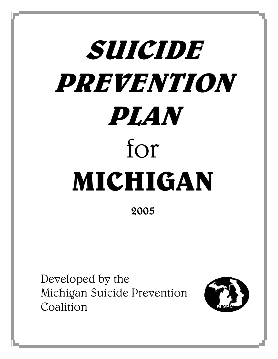# **SUICIDE PREVENTION PLAN** for **MICHIGAN**

2005

Developed by the Michigan Suicide Prevention Coalition

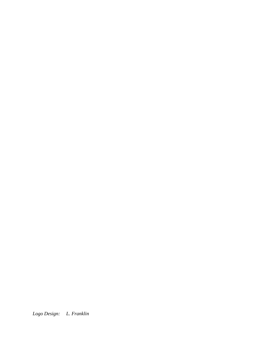*Logo Design: L. Franklin*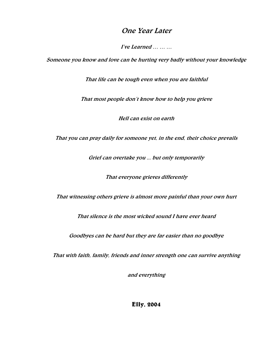## One Year Later

I've Learned … … …

Someone you know and love can be hurting very badly without your knowledge

That life can be tough even when you are faithful

That most people don't know how to help you grieve

Hell can exist on earth

That you can pray daily for someone yet, in the end, their choice prevails

Grief can overtake you ... but only temporarily

That everyone grieves differently

That witnessing others grieve is almost more painful than your own hurt

That silence is the most wicked sound I have ever heard

Goodbyes can be hard but they are far easier than no goodbye

That with faith, family, friends and inner strength one can survive anything

and everything

**Elly, 2004**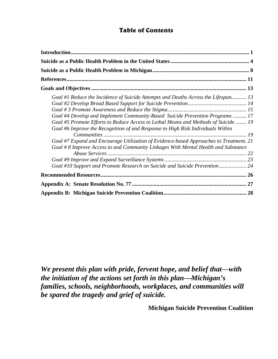## **Table of Contents**

| Goal #1 Reduce the Incidence of Suicide Attempts and Deaths Across the Lifespan 13                                                                                                                                                                      |  |
|---------------------------------------------------------------------------------------------------------------------------------------------------------------------------------------------------------------------------------------------------------|--|
|                                                                                                                                                                                                                                                         |  |
| Goal #4 Develop and Implement Community-Based Suicide Prevention Programs  17<br>Goal #5 Promote Efforts to Reduce Access to Lethal Means and Methods of Suicide  19<br>Goal #6 Improve the Recognition of and Response to High Risk Individuals Within |  |
| Goal #7 Expand and Encourage Utilization of Evidence-based Approaches to Treatment. 21                                                                                                                                                                  |  |
| Goal # 8 Improve Access to and Community Linkages With Mental Health and Substance                                                                                                                                                                      |  |
| Goal #10 Support and Promote Research on Suicide and Suicide Prevention 24                                                                                                                                                                              |  |
|                                                                                                                                                                                                                                                         |  |
|                                                                                                                                                                                                                                                         |  |
|                                                                                                                                                                                                                                                         |  |

*We present this plan with pride, fervent hope, and belief that—with the initiation of the actions set forth in this plan—Michigan's families, schools, neighborhoods, workplaces, and communities will be spared the tragedy and grief of suicide.* 

**Michigan Suicide Prevention Coalition**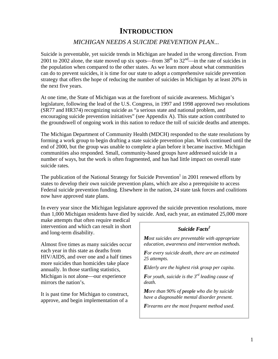## **INTRODUCTION**

## *MICHIGAN NEEDS A SUICIDE PREVENTION PLAN...*

<span id="page-6-0"></span>Suicide is preventable, yet suicide trends in Michigan are headed in the wrong direction. From 2001 to 2002 alone, the state moved up six spots—from  $38<sup>th</sup>$  to  $32<sup>nd</sup>$ —in the rate of suicides in the population when compared to the other states. As we learn more about what communities can do to prevent suicides, it is time for our state to adopt a comprehensive suicide prevention strategy that offers the hope of reducing the number of suicides in Michigan by at least 20% in the next five years.

At one time, the State of Michigan was at the forefront of suicide awareness. Michigan's legislature, following the lead of the U.S. Congress, in 1997 and 1998 approved two resolutions (SR77 and HR374) recognizing suicide as "a serious state and national problem, and encouraging suicide prevention initiatives" (see Appendix A). This state action contributed to the groundswell of ongoing work in this nation to reduce the toll of suicide deaths and attempts.

The Michigan Department of Community Health (MDCH) responded to the state resolutions by forming a work group to begin drafting a state suicide prevention plan. Work continued until the end of 2000, but the group was unable to complete a plan before it became inactive. Michigan communities also responded. Small, community-based groups have addressed suicide in a number of ways, but the work is often fragmented, and has had little impact on overall state suicide rates.

The publication of the National Strategy for Suicide Prevention $1$  in 2001 renewed efforts by states to develop their own suicide prevention plans, which are also a prerequisite to access Federal suicide prevention funding. Elsewhere in the nation, 24 state task forces and coalitions now have approved state plans.

In every year since the Michigan legislature approved the suicide prevention resolutions, more than 1,000 Michigan residents have died by suicide. And, each year, an estimated 25,000 more

make attempts that often require medical intervention and which can result in short and long-term disability.

Almost five times as many suicides occur each year in this state as deaths from HIV/AIDS, and over one and a half times more suicides than homicides take place annually. In those startling statistics, Michigan is not alone—our experience mirrors the nation's.

It is past time for Michigan to construct, approve, and begin implementation of a

## *Suicide Facts<sup>[2](#page-17-1)</sup>*

*Most suicides are preventable with appropriate education, awareness and intervention methods.* 

*For every suicide death, there are an estimated 25 attempts.* 

*Elderly are the highest risk group per capita.* 

*For youth, suicide is the 3rd leading cause of death.* 

*More than 90% of people who die by suicide have a diagnosable mental disorder present.* 

*Firearms are the most frequent method used.*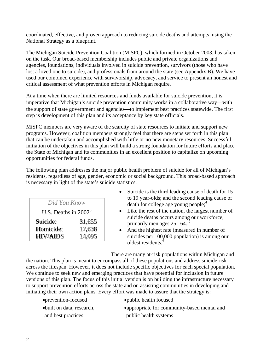coordinated, effective, and proven approach to reducing suicide deaths and attempts, using the National Strategy as a blueprint.

The Michigan Suicide Prevention Coalition (MiSPC), which formed in October 2003, has taken on the task. Our broad-based membership includes public and private organizations and agencies, foundations, individuals involved in suicide prevention, survivors (those who have lost a loved one to suicide), and professionals from around the state (see Appendix B). We have used our combined experience with survivorship, advocacy, and service to present an honest and critical assessment of what prevention efforts in Michigan require.

At a time when there are limited resources and funds available for suicide prevention, it is imperative that Michigan's suicide prevention community works in a collaborative way—with the support of state government and agencies—to implement best practices statewide. The first step is development of this plan and its acceptance by key state officials.

MiSPC members are very aware of the scarcity of state resources to initiate and support new programs. However, coalition members strongly feel that there are steps set forth in this plan that can be undertaken and accomplished with little or no new monetary resources. Successful initiation of the objectives in this plan will build a strong foundation for future efforts and place the State of Michigan and its communities in an excellent position to capitalize on upcoming opportunities for federal funds.

The following plan addresses the major public health problem of suicide for all of Michigan's residents, regardless of age, gender, economic or social background. This broad-based approach is necessary in light of the state's suicide statistics:

| Did You Know           |        |  |  |  |
|------------------------|--------|--|--|--|
| U.S. Deaths in $20023$ |        |  |  |  |
| Suicide:               | 31,655 |  |  |  |
| Homicide:              | 17,638 |  |  |  |
| <b>HIV/AIDS</b>        | 14,095 |  |  |  |

- Suicide is the third leading cause of death for 15 to 19 year-olds; and the second leading cause of death for college age young people;<sup>[4](#page-17-3)</sup>
- Like the rest of the nation, the largest number of suicide deaths occurs among our workforce, primarily men ages  $25 - 64$  $25 - 64$  $25 - 64$ ;<sup>5</sup>
- <span id="page-7-1"></span><span id="page-7-0"></span>• And the highest rate (measured in number of suicides per 100,000 population) is among our oldest residents.<sup>[6](#page-17-5)</sup>

There are many at-risk populations within Michigan and the nation. This plan is meant to encompass all of these populations and address suicide risk across the lifespan. However, it does not include specific objectives for each special population. We continue to seek new and emerging practices that have potential for inclusion in future versions of this plan. The focus of this initial version is on building the infrastructure necessary to support prevention efforts across the state and on assisting communities in developing and initiating their own action plans. Every effort was made to assure that the strategy is:

| • prevention-focused       | • public health focused                      |
|----------------------------|----------------------------------------------|
| • built on data, research, | • appropriate for community-based mental and |
| and best practices         | public health systems                        |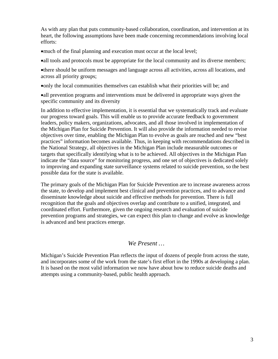As with any plan that puts community-based collaboration, coordination, and intervention at its heart, the following assumptions have been made concerning recommendations involving local efforts:

•much of the final planning and execution must occur at the local level;

•all tools and protocols must be appropriate for the local community and its diverse members;

•there should be uniform messages and language across all activities, across all locations, and across all priority groups;

•only the local communities themselves can establish what their priorities will be; and

•all prevention programs and interventions must be delivered in appropriate ways given the specific community and its diversity

In addition to effective implementation, it is essential that we systematically track and evaluate our progress toward goals. This will enable us to provide accurate feedback to government leaders, policy makers, organizations, advocates, and all those involved in implementation of the Michigan Plan for Suicide Prevention. It will also provide the information needed to revise objectives over time, enabling the Michigan Plan to evolve as goals are reached and new "best practices" information becomes available. Thus, in keeping with recommendations described in the National Strategy, all objectives in the Michigan Plan include measurable outcomes or targets that specifically identifying what is to be achieved. All objectives in the Michigan Plan indicate the "data source" for monitoring progress, and one set of objectives is dedicated solely to improving and expanding state surveillance systems related to suicide prevention, so the best possible data for the state is available.

The primary goals of the Michigan Plan for Suicide Prevention are to increase awareness across the state, to develop and implement best clinical and prevention practices, and to advance and disseminate knowledge about suicide and effective methods for prevention. There is full recognition that the goals and objectives overlap and contribute to a unified, integrated, and coordinated effort. Furthermore, given the ongoing research and evaluation of suicide prevention programs and strategies, we can expect this plan to change and evolve as knowledge is advanced and best practices emerge.

## *We Present …*

Michigan's Suicide Prevention Plan reflects the input of dozens of people from across the state, and incorporates some of the work from the state's first effort in the 1990s at developing a plan. It is based on the most valid information we now have about how to reduce suicide deaths and attempts using a community-based, public health approach.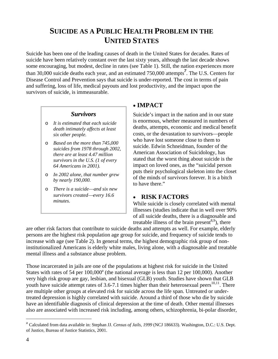# <span id="page-9-0"></span>**SUICIDE AS A PUBLIC HEALTH PROBLEM IN THE UNITED STATES**

Suicide has been one of the leading causes of death in the United States for decades. Rates of suicide have been relatively constant over the last sixty years, although the last decade shows some encouraging, but modest, decline in rates (see Table 1). Still, the nation experiences more than 30,000 suicide deaths each year, and an estimated 750,000 attempts*<sup>7</sup>* . The U.S. Centers for Disease Control and Prevention says that suicide is under-reported. The [co](#page-17-6)st in terms of pain and suffering, loss of life, medical payouts and lost productivity, and the impact upon the survivors of suicide, is immeasurable.

#### *Survivor[s](#page-9-1)*

- o *It is estimated that each suicide death intimately affects at least six other people.*
- o *Based on the more than 745,000 suicides from 1978 through 2002, there are at least 4.47 million survivors in the U.S. (1 of every 64 Americans in 2001).*
- o *In 2002 alone, that number grew by nearly 190,000.*
- o *There is a suicide*⎯*and six new survivors created*⎯*every 16.6 minutes.*

## <span id="page-9-1"></span>• **IMPACT**

Suicide's impact in the nation and in our state is enormous, whether measured in numbers of deaths, attempts, economic and medical benefit costs, or the devastation to survivors—people who have lost someone close to them to suicide. Edwin Schneidman, founder of the American Association of Suicidology, has stated that the worst thing about suicide is the impact on loved ones, as the "suicidal person puts their psychological skeleton into the closet of the minds of survivors forever. It is a bitch to have there."

#### • **RISK FACTORS**

<span id="page-9-5"></span><span id="page-9-4"></span><span id="page-9-2"></span>While suicide is closely correlated with mental illnesses (studies indicate that in well over 90% of all suicide deaths, there is a diagnosable and treatable illness of the brain present<sup>8,9</sup>), there

are other risk factors that contribute to suicide deaths and attempts as well. For example, elderly persons are the highest risk population age group for suicide, and frequency of suicide tends to increase with age (see Table 2). In general terms, the highest demographic risk group of noninstitutionalized Americans is elderly white males, living alone, with a diagnosable and treatable mental illness and a substance abuse problem.

Those incarcerated in jails are one of the populations at highest risk for suicide in the United St[a](#page-9-3)tes with rates of 54 per  $100,000^a$  (the national average is less than 12 per 100,000). Another very high risk group are gay, lesbian, and bisexual (GLB) youth. Studies have shown that GLB youth have suicide attempt rates of 3.6-7.1 times higher than their heterosexual peers<sup>10,11</sup>. There are multiple other groups at elevated risk for suicide across the life span. Untreated or undertreated depression is highly correlated with suicide. Around a third of those who die by suicide have an identifiable diagnosis of clinical depression at the time of death. [O](#page-9-2)ther mental illnesses also are associated with increased risk including, among others, schizophrenia, bi-polar disorder,

1

<span id="page-9-3"></span><sup>&</sup>lt;sup>a</sup> Calculated from data available in: Stephan JJ. *Census of Jails, 1999* (NCJ 186633). Washington, D.C.: U.S. Dept. of Justice, Bureau of Justice Statistics, 2001.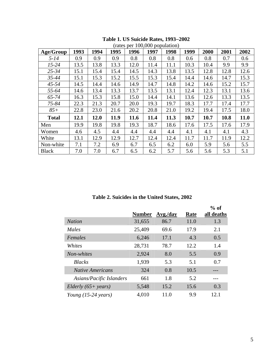| (rates per 100,000 population) |      |      |      |      |      |      |      |      |      |             |
|--------------------------------|------|------|------|------|------|------|------|------|------|-------------|
| Age/Group                      | 1993 | 1994 | 1995 | 1996 | 1997 | 1998 | 1999 | 2000 | 2001 | 2002        |
| $5 - 14$                       | 0.9  | 0.9  | 0.9  | 0.8  | 0.8  | 0.8  | 0.6  | 0.8  | 0.7  | 0.6         |
| $15 - 24$                      | 13.5 | 13.8 | 13.3 | 12.0 | 11.4 | 11.1 | 10.3 | 10.4 | 9.9  | 9.9         |
| $25 - 34$                      | 15.1 | 15.4 | 15.4 | 14.5 | 14.3 | 13.8 | 13.5 | 12.8 | 12.8 | 12.6        |
| 35-44                          | 15.1 | 15.3 | 15.2 | 15.5 | 15.3 | 15.4 | 14.4 | 14.6 | 14.7 | 15.3        |
| $45 - 54$                      | 14.5 | 14.4 | 14.6 | 14.9 | 14.7 | 14.8 | 14.2 | 14.6 | 15.2 | 15.7        |
| 55-64                          | 14.6 | 13.4 | 13.3 | 13.7 | 13.5 | 13.1 | 12.4 | 12.3 | 13.1 | 13.6        |
| 65-74                          | 16.3 | 15.3 | 15.8 | 15.0 | 14.4 | 14.1 | 13.6 | 12.6 | 13.3 | 13.5        |
| $75 - 84$                      | 22.3 | 21.3 | 20.7 | 20.0 | 19.3 | 19.7 | 18.3 | 17.7 | 17.4 | 17.7        |
| $85+$                          | 22.8 | 23.0 | 21.6 | 20.2 | 20.8 | 21.0 | 19.2 | 19.4 | 17.5 | 18.0        |
| <b>Total</b>                   | 12.1 | 12.0 | 11.9 | 11.6 | 11.4 | 11.3 | 10.7 | 10.7 | 10.8 | <b>11.0</b> |
| Men                            | 19.9 | 19.8 | 19.8 | 19.3 | 18.7 | 18.6 | 17.6 | 17.5 | 17.6 | 17.9        |
| Women                          | 4.6  | 4.5  | 4.4  | 4.4  | 4.4  | 4.4  | 4.1  | 4.1  | 4.1  | 4.3         |
| White                          | 13.1 | 12.9 | 12.9 | 12.7 | 12.4 | 12.4 | 11.7 | 11.7 | 11.9 | 12.2        |
| Non-white                      | 7.1  | 7.2  | 6.9  | 6.7  | 6.5  | 6.2  | 6.0  | 5.9  | 5.6  | 5.5         |
| <b>Black</b>                   | 7.0  | 7.0  | 6.7  | 6.5  | 6.2  | 5.7  | 5.6  | 5.6  | 5.3  | 5.1         |

**Table 1. US Suicide Rates, 1993**−**200[2](#page-9-1)**

**Table 2. Suicides in the United States, 200[2](#page-9-1)**

|                               | <b>Number</b> | Avg./day | Rate | $%$ of<br>all deaths |
|-------------------------------|---------------|----------|------|----------------------|
| <b>Nation</b>                 | 31,655        | 86.7     | 11.0 | 1.3                  |
| Males                         | 25,409        | 69.6     | 17.9 | 2.1                  |
| Females                       | 6,246         | 17.1     | 4.3  | 0.5                  |
| Whites                        | 28,731        | 78.7     | 12.2 | 1.4                  |
| Non-whites                    | 2,924         | 8.0      | 5.5  | 0.9                  |
| <b>Blacks</b>                 | 1,939         | 5.3      | 5.1  | 0.7                  |
| <b>Native Americans</b>       | 324           | 0.8      | 10.5 |                      |
| Asians/Pacific Islanders      | 661           | 1.8      | 5.2  |                      |
| $Elderly (65 + years)$        | 5,548         | 15.2     | 15.6 | 0.3                  |
| Young $(15-24 \text{ years})$ | 4,010         | 11.0     | 9.9  | 12.1                 |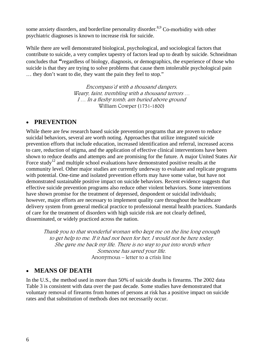some anxiety disorders, and borderline personality disorder.<sup>[8,](#page-9-4)[9](#page-9-5)</sup> Co-morbidity with other psychiatric diagnoses is known to increase risk for suicide.

While there are well demonstrated biological, psychological, and sociological factors that contribute to suicide, a very complex tapestry of factors lead up to death by suicide. Schneidman concludes that **"**regardless of biology, diagnosis, or demographics, the experience of those who suicide is that they are trying to solve problems that cause them intolerable psychological pain … they don't want to die, they want the pain they feel to stop."

> Encompass'd with a thousand dangers, Weary, faint, trembling with a thousand terrors … I … In a fleshy tomb, am buried above ground William Cowper (1731-1800)

## • **PREVENTION**

While there are few research based suicide prevention programs that are proven to reduce suicidal behaviors, several are worth noting. Approaches that utilize integrated suicide prevention efforts that include education, increased identification and referral, increased access to care, reduction of stigma, and the application of effective clinical interventions have been shown to reduce deaths and attempts and are promising for the future. A major United States Air Force study<sup>12</sup> and multiple school evaluations have demonstrated positive results at the community level. Other major studies are currently underway to evaluate and replicate programs with potential. One-time and isolated prevention efforts may have some value, but have not demonstrated sustainable positive impact on suicide behaviors. Recent evidence suggests that effective suicide prevention programs also reduce other violent behaviors. Some interventions have shown promise for the treatment of depressed, despondent or suicidal individuals; however, major efforts are necessary to implement quality care throughout the healthcare delivery system from general medical practice to professional mental health practices. Standards of care for the treatment of disorders with high suicide risk are not clearly defined, disseminated, or widely practiced across the nation.

Thank you to that wonderful woman who kept me on the line long enough to get help to me. If it had not been for her, I would not be here today. She gave me back my life. There is no way to put into words when Someone has saved your life. Anonymous – letter to a crisis line

## • **MEANS OF DEATH**

In the U.S., the method used in more than 50% of suicide deaths is firearms. The 2002 data Table 3 is consistent with data over the past decade. Some studies have demonstrated that voluntary removal of firearms from homes of persons at risk has a positive impact on suicide rates and that substitution of methods does not necessarily occur.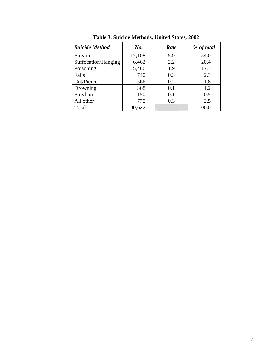| <b>Suicide Method</b> | No.    | Rate | % of total |
|-----------------------|--------|------|------------|
| Firearms              | 17,108 | 5.9  | 54.0       |
| Suffocation/Hanging   | 6,462  | 2.2  | 20.4       |
| Poisoning             | 5,486  | 1.9  | 17.3       |
| Falls                 | 740    | 0.3  | 2.3        |
| Cut/Pierce            | 566    | 0.2  | 1.8        |
| Drowning              | 368    | 0.1  | 1.2        |
| Fire/burn             | 150    | 0.1  | 0.5        |
| All other             | 775    | 0.3  | 2.5        |
| Total                 | 30,622 |      | 100.0      |

**Table 3. Suicide Methods, United States, 200[2](#page-9-1)**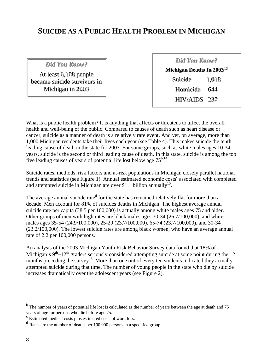## <span id="page-13-0"></span>**SUICIDE AS A PUBLIC HEALTH PROBLEM IN MICHIGAN**

*Did You Know?* 

At least 6,108 people became suicide survivors in Michigan in 2003

*Did You Know?* **Michigan Deaths In 2003**<sup>[13](#page-17-10)</sup> Suicide 1,018 Homicide 644 HIV/AIDS 237

What is a public health problem? It is anything that affects or threatens to affect the overall health and well-being of the public. Compared to causes of death such as heart disease or cancer, suicide as a manner of death is a relatively rare event. And yet, on average, more than 1,000 Michigan residents take their lives each year (see Table 4). This makes suicide the tenth leading cause of death in the state for 2003. For some groups, such as white males ages 10-34 years, suicide is the second or third leading cause of death. In this state, suicide is among the top five leading causes of years of potential life lost below age  $75^{b,14}$  $75^{b,14}$  $75^{b,14}$ .

Suicide rates, methods, risk factors and at-risk populations in Michigan closely parallel national trends [a](#page-13-2)nd statistics (see Figure 1). Annual estimated economic costs<sup>c</sup> associated with completed and attempted suicide in Michigan are over \$1.1 billion annually<sup>15</sup>.

The average annual suici[d](#page-13-3)e rate<sup>d</sup> for the state has remained relatively flat for more than a decade. Men account for 81% of suicides deaths in Michigan. The highest average annual suicide rate per capita (38.5 per 100,000) is actually among white males ages 75 and olde[r.](#page-7-0)  Other groups of men with high rates are black males ages 30-34 (26.7/100,000), and white males ages 35-54 (24.9/100,000), 25-29 (23.7/100,000), 65-74 (23.7/100,000), and 30-34 (23.2/100,000). The lowest suicide rates are among black women, who have an average annual rate of 2.2 per 100,000 persons.

An analysis of the 2003 Michigan Youth Risk Behavior Survey data found that 18% of Michigan's 9<sup>th</sup>−12<sup>th</sup> graders seriously considered attempting suicide at some point during the 12 months preceding the survey<sup>16</sup>. More than one out of every ten students indicated they actually attempted suicide during that time. The number of young people in the state who die by suicide increases dramatically over the adolescent years (see Figure 2).

1

<span id="page-13-1"></span><sup>&</sup>lt;sup>b</sup> The number of years of potential life lost is calculated as the number of years between the age at death and 75 years of age for persons who die before age 75.

<span id="page-13-3"></span>

<span id="page-13-2"></span> $\sigma$  Estimated medical costs plus estimated costs of work loss.<br> $\sigma$  Rates are the number of deaths per 100,000 persons in a specified group.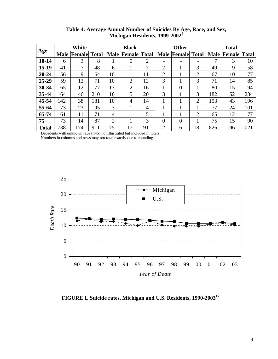| White        |             | <b>Black</b>  |              |             | <b>Other</b>     |                |                | <b>Total</b>       |                |     |             |              |
|--------------|-------------|---------------|--------------|-------------|------------------|----------------|----------------|--------------------|----------------|-----|-------------|--------------|
| Age          | <b>Male</b> | Female        | <b>Total</b> | <b>Male</b> | Female           | <b>Total</b>   |                | <b>Male Female</b> | <b>Total</b>   |     | Male Female | <b>Total</b> |
| $10 - 14$    | 6           | 3             | 8            |             | $\boldsymbol{0}$ | $\overline{2}$ | -              |                    | -              | 7   | 3           | 10           |
| $15-19$      | 41          | $\mathcal{I}$ | 48           | 6           |                  | 7              | $\overline{2}$ |                    | 3              | 49  | 9           | 58           |
| $20 - 24$    | 56          | 9             | 64           | 10          |                  | 11             | 2              |                    | 2              | 67  | 10          | 77           |
| $25 - 29$    | 59          | 12            | 71           | 10          | $\overline{2}$   | 12             | 3              |                    | 3              | 71  | 14          | 85           |
| 30-34        | 65          | 12            | 77           | 13          | 2                | 16             |                | $\overline{0}$     |                | 80  | 15          | 94           |
| 35-44        | 164         | 46            | 210          | 16          | 5                | 20             | 3              |                    | 3              | 182 | 52          | 234          |
| 45-54        | 142         | 38            | 181          | 10          | 4                | 14             |                |                    | $\overline{2}$ | 153 | 43          | 196          |
| 55-64        | 73          | 23            | 95           | 3           |                  | 4              |                |                    |                | 77  | 24          | 101          |
| 65-74        | 61          | 11            | 71           | 4           |                  | 5              |                |                    | $\overline{2}$ | 65  | 12          | 77           |
| $75+$        | 73          | 14            | 87           | 2           |                  | 3              | $\Omega$       | $\Omega$           |                | 75  | 15          | 90           |
| <b>Total</b> | 738         | 174           | 911          | 75          | 17               | 91             | 12             | 6                  | 18             | 826 | 196         | 1,021        |

**Table 4. Average Annual Number of Suicides By Age, Race, and Sex, Michigan Residents, 1999-2002**[5](#page-7-1)

Decedents with unknown race (n=5) not illustrated but included in totals.

Numbers in columns and rows may not total exactly due to rounding.



**FIGURE 1. Suicide rates, Michigan and U.S. Residents, 1990-200[317](#page-17-14)**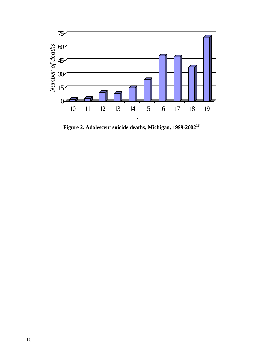

**Figure 2. Adolescent suicide deaths, Michigan, 1999-200[218](#page-17-15)**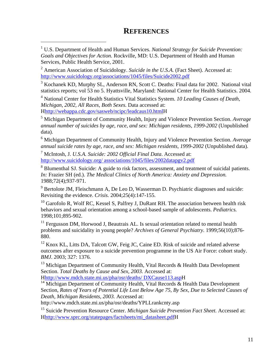## **REFERENCES**

<sup>1</sup> U.S. Department of Health and Human Services. *National Strategy for Suicide Prevention*: *Goals and Objectives for Action.* Rockville, MD: U.S. Department of Health and Human Services, Public Health Service, 2001.

<sup>2</sup> American Association of Suicidology. *Suicide in the U.S.A*. (Fact Sheet). Accessed at: http://www.suicidology.org/associations/1045/files/Suicide2002.pdf

<sup>3</sup> Kochanek KD, Murphy SL, Anderson RN, Scott C. Deaths: Final data for 2002. National vital statistics reports; vol 53 no 5. Hyattsville, Maryland: National Center for Health Statistics. 2004.

4 National Center for Health Statistics Vital Statistics System. *10 Leading Causes of Death, Michigan, 2002, All Races, Both Sexes.* Data accessed at: Hhttp://webappa.cdc.gov/sasweb/ncipc/leadcaus10.htmlH

5 Michigan Department of Community Health, Injury and Violence Prevention Section. *Average annual number of suicides by age, race, and sex: Michigan residents, 1999-2002* (Unpublished data)*.*

6 Michigan Department of Community Health, Injury and Violence Prevention Section. *Average annual suicide rates by age, race, and sex: Michigan residents, 1999-2002* (Unpublished data)*.*

7 McIntosh, J. *U.S.A. Suicide: 2002 Official Final Data*. Accessed at: http://www.suicidology.org/ associations/1045/files/2002datapgv2.pdf

<span id="page-16-0"></span> $\overline{a}$ 

<sup>8</sup> Blumenthal SJ. Suicide: A guide to risk factors, assessment, and treatment of suicidal patients. *In:* Frazier SH (ed.). *The Medical Clinics of North America: Anxiety and Depression.* 1988;72(4);937-971.

 $9^9$  Bertolote JM, Fleischmann A, De Leo D, Wasserman D. Psychiatric diagnoses and suicide: Revisiting the evidence. *Crisis.* 2004;25(4):147-155.

<sup>10</sup> Garofolo R, Wolf RC, Kessel S, Palfrey J, DuRant RH. The association between health risk behaviors and sexual orientation among a school-based sample of adolescents. *Pediatrics.* 1998;101;895-902.

 $11$  Fergusson DM, Horwood J, Beautrais AL. Is sexual orientation related to mental health problems and suicidality in young people? *Archives of General Psychiatry.* 1999;56(10);876- 880.

<sup>12</sup> Knox KL, Litts DA, Talcott GW, Feig JC, Caine ED. Risk of suicide and related adverse outcomes after exposure to a suicide prevention programme in the US Air Force: cohort study. *BMJ*. 2003; 327: 1376.

<sup>13</sup> Michigan Department of Community Health, Vital Records  $\&$  Health Data Development Section. *Total Deaths by Cause and Sex, 2003.* Accessed at:

Hhttp://www.mdch.state.mi.us/pha/osr/deaths/ DXCause113.aspH

<sup>14</sup> Michigan Department of Community Health, Vital Records  $\&$  Health Data Development Section, *Rates of Years of Potential Life Lost Below Age 75, By Sex, Due to Selected Causes of Death, Michigan Residents, 2003.* Accessed at:

http://www.mdch.state.mi.us/pha/osr/deaths/YPLLrankcnty.asp

15 Suicide Prevention Resource Center. *Michigan Suicide Prevention Fact Sheet.* Accessed at: Hhttp://www.sprc.org/statepages/factsheets/mi\_datasheet.pdfH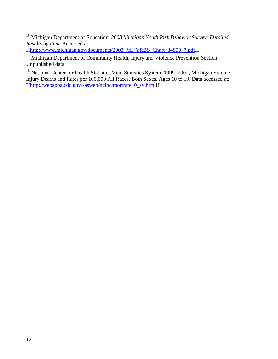16 Michigan Department of Education. *2003 Michigan Youth Risk Behavior Survey: Detailed Results by Item.* Accessed at:

<span id="page-17-0"></span>Hhttp://www.michigan.gov/documents/2003\_MI\_YRBS\_Chart\_84900\_7.pdfH

<sup>17</sup> Michigan Department of Community Health, Injury and Violence Prevention Section. Unpublished data.

<span id="page-17-15"></span><span id="page-17-14"></span><span id="page-17-13"></span><span id="page-17-12"></span><span id="page-17-11"></span><span id="page-17-10"></span><span id="page-17-9"></span><span id="page-17-8"></span><span id="page-17-7"></span><span id="page-17-6"></span><span id="page-17-5"></span><span id="page-17-4"></span><span id="page-17-3"></span><span id="page-17-2"></span><span id="page-17-1"></span>18 National Center for Health Statistics Vital Statistics System. 1999−2002, Michigan Suicide Injury Deaths and Rates per 100,000 All Races, Both Sexes, Ages 10 to 19*.* Data accessed at: Hhttp://webappa.cdc.gov/sasweb/ncipc/mortrate10\_sy.htmlH

 $\overline{a}$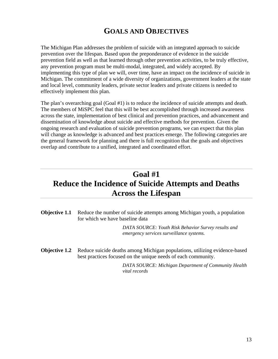## **GOALS AND OBJECTIVES**

<span id="page-18-0"></span>The Michigan Plan addresses the problem of suicide with an integrated approach to suicide prevention over the lifespan. Based upon the preponderance of evidence in the suicide prevention field as well as that learned through other prevention activities, to be truly effective, any prevention program must be multi-modal, integrated, and widely accepted. By implementing this type of plan we will, over time, have an impact on the incidence of suicide in Michigan. The commitment of a wide diversity of organizations, government leaders at the state and local level, community leaders, private sector leaders and private citizens is needed to effectively implement this plan.

The plan's overarching goal (Goal #1) is to reduce the incidence of suicide attempts and death. The members of MiSPC feel that this will be best accomplished through increased awareness across the state, implementation of best clinical and prevention practices, and advancement and dissemination of knowledge about suicide and effective methods for prevention. Given the ongoing research and evaluation of suicide prevention programs, we can expect that this plan will change as knowledge is advanced and best practices emerge. The following categories are the general framework for planning and there is full recognition that the goals and objectives overlap and contribute to a unified, integrated and coordinated effort.

# **Goal #1 Reduce the Incidence of Suicide Attempts and Deaths Across the Lifespan**

**Objective 1.1** Reduce the number of suicide attempts among Michigan youth, a population for which we have baseline data

> *DATA SOURCE: Youth Risk Behavior Survey results and emergency services surveillance systems.*

**Objective 1.2** Reduce suicide deaths among Michigan populations, utilizing evidence-based best practices focused on the unique needs of each community.

> *DATA SOURCE: Michigan Department of Community Health vital records*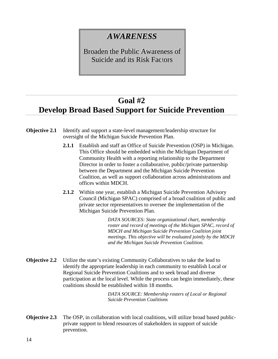## $A$ *WARENESS*

<span id="page-19-0"></span>Broaden the Public Awareness of Suicide and its Risk Factors

# **Goal #2 Develop Broad Based Support for Suicide Prevention**

#### **Objective 2.1** Identify and support a state-level management/leadership structure for oversight of the Michigan Suicide Prevention Plan.

- **2.1.1** Establish and staff an Office of Suicide Prevention (OSP) in Michigan. This Office should be embedded within the Michigan Department of Community Health with a reporting relationship to the Department Director in order to foster a collaborative, public/private partnership between the Department and the Michigan Suicide Prevention Coalition, as well as support collaboration across administrations and offices within MDCH.
- **2.1.2** Within one year, establish a Michigan Suicide Prevention Advisory Council (Michigan SPAC) comprised of a broad coalition of public and private sector representatives to oversee the implementation of the Michigan Suicide Prevention Plan.

*DATA SOURCES: State organizational chart, membership roster and record of meetings of the Michigan SPAC, record of MDCH and Michigan Suicide Prevention Coalition joint meetings. This objective will be evaluated jointly by the MDCH and the Michigan Suicide Prevention Coalition.* 

**Objective 2.2** Utilize the state's existing Community Collaboratives to take the lead to identify the appropriate leadership in each community to establish Local or Regional Suicide Prevention Coalitions and to seek broad and diverse participation at the local level. While the process can begin immediately, these coalitions should be established within 18 months.

> *DATA SOURCE: Membership rosters of Local or Regional Suicide Prevention Coalitions*

**Objective 2.3** The OSP, in collaboration with local coalitions, will utilize broad based publicprivate support to blend resources of stakeholders in support of suicide prevention.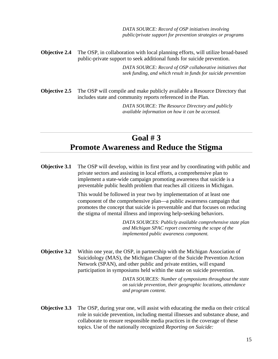*DATA SOURCE: Record of OSP initiatives involving public/private support for prevention strategies or programs* 

<span id="page-20-0"></span>**Objective 2.4** The OSP, in collaboration with local planning efforts, will utilize broad-based public-private support to seek additional funds for suicide prevention.

> *DATA SOURCE: Record of OSP collaborative initiatives that seek funding, and which result in funds for suicide prevention*

**Objective 2.5** The OSP will compile and make publicly available a Resource Directory that includes state and community reports referenced in the Plan.

> *DATA SOURCE: The Resource Directory and publicly available information on how it can be accessed.*

## **Goal # 3 Promote Awareness and Reduce the Stigma**

**Objective 3.1** The OSP will develop, within its first year and by coordinating with public and private sectors and assisting in local efforts, a comprehensive plan to implement a state-wide campaign promoting awareness that suicide is a preventable public health problem that reaches all citizens in Michigan.

> This would be followed in year two by implementation of at least one component of the comprehensive plan—a public awareness campaign that promotes the concept that suicide is preventable and that focuses on reducing the stigma of mental illness and improving help-seeking behaviors.

> > *DATA SOURCES: Publicly available comprehensive state plan and Michigan SPAC report concerning the scope of the implemented public awareness component.*

**Objective 3.2** Within one year, the OSP, in partnership with the Michigan Association of Suicidology (MAS), the Michigan Chapter of the Suicide Prevention Action Network (SPAN), and other public and private entities, will expand participation in symposiums held within the state on suicide prevention.

> *DATA SOURCES: Number of symposiums throughout the state on suicide prevention, their geographic locations, attendance and program content.*

**Objective 3.3** The OSP, during year one, will assist with educating the media on their critical role in suicide prevention, including mental illnesses and substance abuse, and collaborate to ensure responsible media practices in the coverage of these topics. Use of the nationally recognized *Reporting on Suicide:*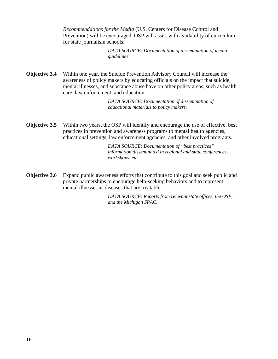*Recommendations for the Media* (U.S. Centers for Disease Control and Prevention) will be encouraged. OSP will assist with availability of curriculum for state journalism schools.

> *DATA SOURCE: Documentation of dissemination of media guidelines*

**Objective 3.4** Within one year, the Suicide Prevention Advisory Council will increase the awareness of policy makers by educating officials on the impact that suicide, mental illnesses, and substance abuse have on other policy areas, such as health care, law enforcement, and education.

> *DATA SOURCE: Documentation of dissemination of educational materials to policy makers.*

**Objective 3.5** Within two years, the OSP will identify and encourage the use of effective, best practices in prevention and awareness programs to mental health agencies, educational settings, law enforcement agencies, and other involved programs.

> *DATA SOURCE: Documentation of "best practices" information disseminated in regional and state conferences, workshops, etc.*

**Objective 3.6** Expand public awareness efforts that contribute to this goal and seek public and private partnerships to encourage help-seeking behaviors and to represent mental illnesses as diseases that are treatable.

> *DATA SOURCE: Reports from relevant state offices, the OSP, and the Michigan SPAC.*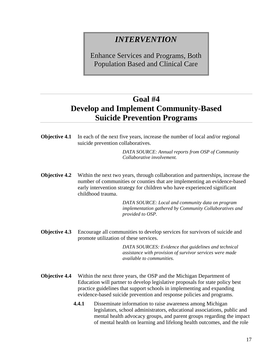## *INTERVENTION*

<span id="page-22-0"></span>Enhance Services and Programs, Both Population Based and Clinical Care

# **Goal #4 Develop and Implement Community-Based Suicide Prevention Programs**

**Objective 4.1** In each of the next five years, increase the number of local and/or regional suicide prevention collaboratives.

> *DATA SOURCE: Annual reports from OSP of Community Collaborative involvement.*

**Objective 4.2** Within the next two years, through collaboration and partnerships, increase the number of communities or counties that are implementing an evidence-based early intervention strategy for children who have experienced significant childhood trauma.

> *DATA SOURCE: Local and community data on program implementation gathered by Community Collaboratives and provided to OSP.*

**Objective 4.3** Encourage all communities to develop services for survivors of suicide and promote utilization of these services.

> *DATA SOURCES: Evidence that guidelines and technical assistance with provision of survivor services were made available to communities.*

- **Objective 4.4** Within the next three years, the OSP and the Michigan Department of Education will partner to develop legislative proposals for state policy best practice guidelines that support schools in implementing and expanding evidence-based suicide prevention and response policies and programs.
	- **4.4.1** Disseminate information to raise awareness among Michigan legislators, school administrators, educational associations, public and mental health advocacy groups, and parent groups regarding the impact of mental health on learning and lifelong health outcomes, and the role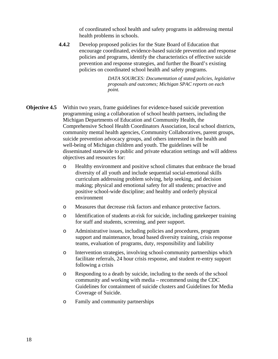of coordinated school health and safety programs in addressing mental health problems in schools.

**4.4.2** Develop proposed policies for the State Board of Education that encourage coordinated, evidence-based suicide prevention and response policies and programs, identify the characteristics of effective suicide prevention and response strategies, and further the Board's existing policies on coordinated school health and safety programs.

> *DATA SOURCES: Documentation of stated policies, legislative proposals and outcomes; Michigan SPAC reports on each point.*

- **Objective 4.5** Within two years, frame guidelines for evidence-based suicide prevention programming using a collaboration of school health partners, including the Michigan Departments of Education and Community Health, the Comprehensive School Health Coordinators Association, local school districts, community mental health agencies, Community Collaboratives, parent groups, suicide prevention advocacy groups, and others interested in the health and well-being of Michigan children and youth. The guidelines will be disseminated statewide to public and private education settings and will address objectives and resources for:
	- o Healthy environment and positive school climates that embrace the broad diversity of all youth and include sequential social-emotional skills curriculum addressing problem solving, help seeking, and decision making; physical and emotional safety for all students; proactive and positive school-wide discipline; and healthy and orderly physical environment
	- o Measures that decrease risk factors and enhance protective factors.
	- o Identification of students at-risk for suicide, including gatekeeper training for staff and students, screening, and peer support.
	- o Administrative issues, including policies and procedures, program support and maintenance, broad based diversity training, crisis response teams, evaluation of programs, duty, responsibility and liability
	- o Intervention strategies, involving school-community partnerships which facilitate referrals, 24 hour crisis response, and student re-entry support following a crisis
	- o Responding to a death by suicide, including to the needs of the school community and working with media – recommend using the CDC Guidelines for containment of suicide clusters and Guidelines for Media Coverage of Suicide.
	- o Family and community partnerships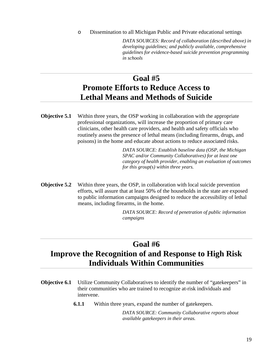<span id="page-24-0"></span>o Dissemination to all Michigan Public and Private educational settings

*DATA SOURCES: Record of collaboration (described above) in developing guidelines; and publicly available, comprehensive guidelines for evidence-based suicide prevention programming in schools* 

# **Goal #5 Promote Efforts to Reduce Access to Lethal Means and Methods of Suicide**

**Objective 5.1** Within three years, the OSP working in collaboration with the appropriate professional organizations, will increase the proportion of primary care clinicians, other health care providers, and health and safety officials who routinely assess the presence of lethal means (including firearms, drugs, and poisons) in the home and educate about actions to reduce associated risks.

> *DATA SOURCE: Establish baseline data (OSP, the Michigan SPAC and/or Community Collaboratives) for at least one category of health provider, enabling an evaluation of outcomes for this group(s) within three years.*

**Objective 5.2** Within three years, the OSP, in collaboration with local suicide prevention efforts, will assure that at least 50% of the households in the state are exposed to public information campaigns designed to reduce the accessibility of lethal means, including firearms, in the home.

> *DATA SOURCE: Record of penetration of public information campaigns*

# **Goal #6 Improve the Recognition of and Response to High Risk Individuals Within Communities**

- **Objective 6.1** Utilize Community Collaboratives to identify the number of "gatekeepers" in their communities who are trained to recognize at-risk individuals and intervene.
	- **6.1.1** Within three years, expand the number of gatekeepers.

*DATA SOURCE: Community Collaborative reports about available gatekeepers in their areas.*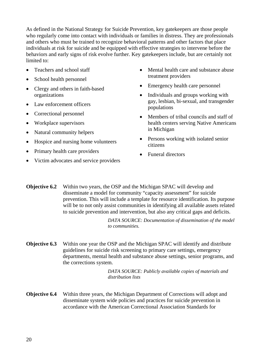As defined in the National Strategy for Suicide Prevention, key gatekeepers are those people who regularly come into contact with individuals or families in distress. They are professionals and others who must be trained to recognize behavioral patterns and other factors that place individuals at risk for suicide and be equipped with effective strategies to intervene before the behaviors and early signs of risk evolve further. Key gatekeepers include, but are certainly not limited to:

- Teachers and school staff
- School health personnel
- Clergy and others in faith-based organizations
- Law enforcement officers
- Correctional personnel
- Workplace supervisors
- Natural community helpers
- Hospice and nursing home volunteers
- Primary health care providers
- Victim advocates and service providers
- Mental health care and substance abuse treatment providers
- Emergency health care personnel
- Individuals and groups working with gay, lesbian, bi-sexual, and transgender populations
- Members of tribal councils and staff of health centers serving Native Americans in Michigan
- Persons working with isolated senior citizens
- Funeral directors
- **Objective 6.2** Within two years, the OSP and the Michigan SPAC will develop and disseminate a model for community "capacity assessment" for suicide prevention. This will include a template for resource identification. Its purpose will be to not only assist communities in identifying all available assets related to suicide prevention and intervention, but also any critical gaps and deficits.

*DATA SOURCE: Documentation of dissemination of the model to communities.* 

**Objective 6.3** Within one year the OSP and the Michigan SPAC will identify and distribute guidelines for suicide risk screening to primary care settings, emergency departments, mental health and substance abuse settings, senior programs, and the corrections system.

> *DATA SOURCE: Publicly available copies of materials and distribution lists*

**Objective 6.4** Within three years, the Michigan Department of Corrections will adopt and disseminate system wide policies and practices for suicide prevention in accordance with the American Correctional Association Standards for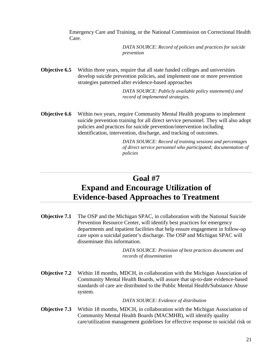<span id="page-26-0"></span>Emergency Care and Training, or the National Commission on Correctional Health Care.

> *DATA SOURCE: Record of policies and practices for suicide prevention*

**Objective 6.5** Within three years, require that all state funded colleges and universities develop suicide prevention policies, and implement one or more prevention strategies patterned after evidence-based approaches

> *DATA SOURCE: Publicly available policy statement(s) and record of implemented strategies.*

**Objective 6.6** Within two years, require Community Mental Health programs to implement suicide prevention training for all direct service personnel. They will also adopt policies and practices for suicide prevention/intervention including identification, intervention, discharge, and tracking of outcomes.

> *DATA SOURCE: Record of training sessions and percentages of direct service personnel who participated; documentation of policies*

# **Goal #7 Expand and Encourage Utilization of Evidence-based Approaches to Treatment**

**Objective 7.1** The OSP and the Michigan SPAC, in collaboration with the National Suicide Prevention Resource Center, will identify best practices for emergency departments and inpatient facilities that help ensure engagement in follow-up care upon a suicidal patient's discharge. The OSP and Michigan SPAC will disseminate this information.

> *DATA SOURCE: Provision of best practices documents and records of dissemination*

**Objective 7.2** Within 18 months, MDCH, in collaboration with the Michigan Association of Community Mental Health Boards, will assure that up-to-date evidence-based standards of care are distributed to the Public Mental Health/Substance Abuse system.

#### *DATA SOURCE: Evidence of distribution*

**Objective 7.3** Within 18 months, MDCH, in collaboration with the Michigan Association of Community Mental Health Boards (MACMHB), will identify quality care/utilization management guidelines for effective response to suicidal risk or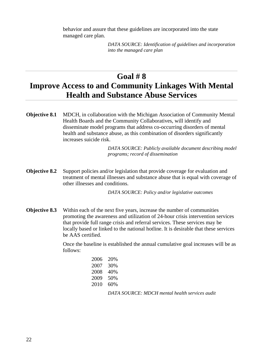<span id="page-27-0"></span>behavior and assure that these guidelines are incorporated into the state managed care plan.

> *DATA SOURCE: Identification of guidelines and incorporation into the managed care plan*

# **Goal # 8 Improve Access to and Community Linkages With Mental Health and Substance Abuse Services**

**Objective 8.1** MDCH, in collaboration with the Michigan Association of Community Mental Health Boards and the Community Collaboratives, will identify and disseminate model programs that address co-occurring disorders of mental health and substance abuse, as this combination of disorders significantly increases suicide risk.

> *DATA SOURCE: Publicly available document describing model programs; record of dissemination*

**Objective 8.2** Support policies and/or legislation that provide coverage for evaluation and treatment of mental illnesses and substance abuse that is equal with coverage of other illnesses and conditions.

*DATA SOURCE: Policy and/or legislative outcomes* 

**Objective 8.3** Within each of the next five years, increase the number of communities promoting the awareness and utilization of 24-hour crisis intervention services that provide full range crisis and referral services. These services may be locally based or linked to the national hotline. It is desirable that these services be AAS certified.

> Once the baseline is established the annual cumulative goal increases will be as follows:

| 2006 20%  |  |
|-----------|--|
| 2007 30%  |  |
| 2008 40\% |  |
| 2009 50%  |  |
| 2010 60%  |  |
|           |  |

*DATA SOURCE: MDCH mental health services audit*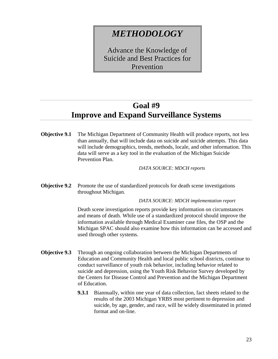# <span id="page-28-0"></span>*METHODOLOGY*

Advance the Knowledge of Suicide and Best Practices for Prevention

# **Goal #9 Improve and Expand Surveillance Systems**

**Objective 9.1** The Michigan Department of Community Health will produce reports, not less than annually, that will include data on suicide and suicide attempts. This data will include demographics, trends, methods, locale, and other information. This data will serve as a key tool in the evaluation of the Michigan Suicide Prevention Plan.

*DATA SOURCE: MDCH reports* 

**Objective 9.2** Promote the use of standardized protocols for death scene investigations throughout Michigan.

*DATA SOURCE: MDCH implementation report* 

Death scene investigation reports provide key information on circumstances and means of death. While use of a standardized protocol should improve the information available through Medical Examiner case files, the OSP and the Michigan SPAC should also examine how this information can be accessed and used through other systems.

- **Objective 9.3** Through an ongoing collaboration between the Michigan Departments of Education and Community Health and local public school districts, continue to conduct surveillance of youth risk behavior, including behavior related to suicide and depression, using the Youth Risk Behavior Survey developed by the Centers for Disease Control and Prevention and the Michigan Department of Education.
	- **9.3.1** Biannually, within one year of data collection, fact sheets related to the results of the 2003 Michigan YRBS most pertinent to depression and suicide, by age, gender, and race, will be widely disseminated in printed format and on-line.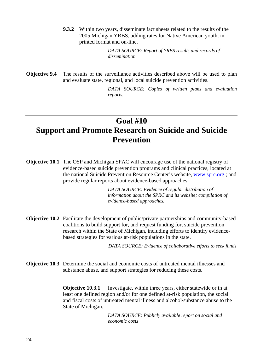<span id="page-29-0"></span>**9.3.2** Within two years, disseminate fact sheets related to the results of the 2005 Michigan YRBS, adding rates for Native American youth, in printed format and on-line.

> *DATA SOURCE: Report of YRBS results and records of dissemination*

**Objective 9.4** The results of the surveillance activities described above will be used to plan and evaluate state, regional, and local suicide prevention activities.

> *DATA SOURCE: Copies of written plans and evaluation reports.*

# **Goal #10 Support and Promote Research on Suicide and Suicide Prevention**

**Objective 10.1** The OSP and Michigan SPAC will encourage use of the national registry of evidence-based suicide prevention programs and clinical practices, located at the national Suicide Prevention Resource Center's website, [www.sprc.org](http://www.sprc.org/).; and provide regular reports about evidence-based approaches.

> *DATA SOURCE: Evidence of regular distribution of information about the SPRC and its website; compilation of evidence-based approaches.*

**Objective 10.2** Facilitate the development of public/private partnerships and community-based coalitions to build support for, and request funding for, suicide prevention research within the State of Michigan, including efforts to identify evidencebased strategies for various at-risk populations in the state.

*DATA SOURCE: Evidence of collaborative efforts to seek funds* 

**Objective 10.3** Determine the social and economic costs of untreated mental illnesses and substance abuse, and support strategies for reducing these costs.

> **Objective 10.3.1** Investigate, within three years, either statewide or in at least one defined region and/or for one defined at-risk population, the social and fiscal costs of untreated mental illness and alcohol/substance abuse to the State of Michigan.

> > *DATA SOURCE: Publicly available report on social and economic costs*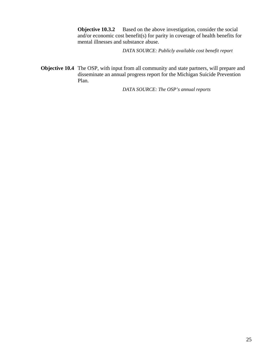**Objective 10.3.2** Based on the above investigation, consider the social and/or economic cost benefit(s) for parity in coverage of health benefits for mental illnesses and substance abuse.

*DATA SOURCE: Publicly available cost benefit report* 

**Objective 10.4** The OSP, with input from all community and state partners, will prepare and disseminate an annual progress report for the Michigan Suicide Prevention Plan.

*DATA SOURCE: The OSP's annual reports*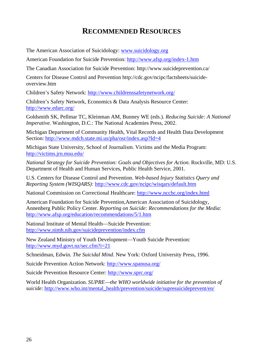## **RECOMMENDED RESOURCES**

<span id="page-31-0"></span>The American Association of Suicidology: [www.suicidology.org](http://www.suicidology.org/)

American Foundation for Suicide Prevention: [http://www.afsp.org/index-1.htm](http://www.afsp.org/)

The Canadian Association for Suicide Prevention: http://www.suicideprevention.ca/

Centers for Disease Control and Prevention http://cdc.gov/ncipc/factsheets/suicideoverview.htm

Children's Safety Network:<http://www.childrenssafetynetwork.org/>

Children's Safety Network, Economics & Data Analysis Resource Center: <http://www.edarc.org/>

Goldsmith SK, Pellmar TC, Kleinman AM, Bunney WE (eds.). *Reducing Suicide: A National Imperative.* Washington, D.C.: The National Academies Press, 2002.

Michigan Department of Community Health, Vital Records and Health Data Development Section: <http://www.mdch.state.mi.us/pha/osr/index.asp?Id=4>

Michigan State University, School of Journalism. Victims and the Media Program: <http://victims.jrn.msu.edu/>

*National Strategy for Suicide Prevention: Goals and Objectives for Action*. Rockville, MD: U.S. Department of Health and Human Services, Public Health Service, 2001.

U.S. Centers for Disease Control and Prevention. *Web-based Injury Statistics Query and Reporting System (WISQARS):* <http://www.cdc.gov/ncipc/wisqars/default.htm>

National Commission on Correctional Healthcare: <http://www.ncchc.org/index.html>

American Foundation for Suicide Prevention,American Association of Suicidology, Annenberg Public Policy Center. *Reporting on Suicide: Recommendations for the Media*: <http://www.afsp.org/education/recommendations/5/1.htm>

National Institute of Mental Health—Suicide Prevention: <http://www.nimh.nih.gov/suicideprevention/index.cfm>

New Zealand Ministry of Youth Development—Youth Suicide Prevention: <http://www.myd.govt.nz/sec.cfm?i=21>

Schneidman, Edwin. *The Suicidal Mind*. New York: Oxford University Press, 1996.

Suicide Prevention Action Network: <http://www.spanusa.org/>

Suicide Prevention Resource Center: <http://www.sprc.org/>

World Health Organization. *SUPRE—the WHO worldwide initiative for the prevention of suicide*: [http://www.who.int/mental\\_health/prevention/suicide/supresuicideprevent/en/](http://www.who.int/mental_health/prevention/suicide/supresuicideprevent/en/)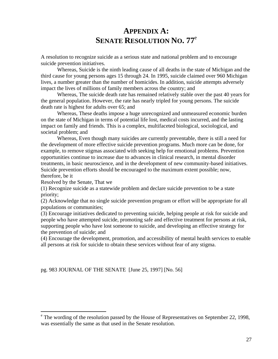## **APPENDIX A: SENATE RESOLUTION NO. 77**[e](#page-32-1)

<span id="page-32-0"></span>A resolution to recognize suicide as a serious state and national problem and to encourage suicide prevention initiatives.

Whereas, Suicide is the ninth leading cause of all deaths in the state of Michigan and the third cause for young persons ages 15 through 24. In 1995, suicide claimed over 960 Michigan lives, a number greater than the number of homicides. In addition, suicide attempts adversely impact the lives of millions of family members across the country; and

Whereas, The suicide death rate has remained relatively stable over the past 40 years for the general population. However, the rate has nearly tripled for young persons. The suicide death rate is highest for adults over 65; and

Whereas, These deaths impose a huge unrecognized and unmeasured economic burden on the state of Michigan in terms of potential life lost, medical costs incurred, and the lasting impact on family and friends. This is a complex, multifaceted biological, sociological, and societal problem; and

Whereas, Even though many suicides are currently preventable, there is still a need for the development of more effective suicide prevention programs. Much more can be done, for example, to remove stigmas associated with seeking help for emotional problems. Prevention opportunities continue to increase due to advances in clinical research, in mental disorder treatments, in basic neuroscience, and in the development of new community-based initiatives. Suicide prevention efforts should be encouraged to the maximum extent possible; now, therefore, be it

Resolved by the Senate, That we

 $\overline{a}$ 

(1) Recognize suicide as a statewide problem and declare suicide prevention to be a state priority;

(2) Acknowledge that no single suicide prevention program or effort will be appropriate for all populations or communities;

(3) Encourage initiatives dedicated to preventing suicide, helping people at risk for suicide and people who have attempted suicide, promoting safe and effective treatment for persons at risk, supporting people who have lost someone to suicide, and developing an effective strategy for the prevention of suicide; and

(4) Encourage the development, promotion, and accessibility of mental health services to enable all persons at risk for suicide to obtain these services without fear of any stigma.

pg. 983 JOURNAL OF THE SENATE [June 25, 1997] [No. 56]

<span id="page-32-1"></span><sup>&</sup>lt;sup>e</sup> The wording of the resolution passed by the House of Representatives on September 22, 1998, was essentially the same as that used in the Senate resolution.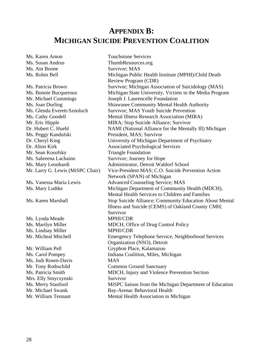# <span id="page-33-0"></span>**APPENDIX B: MICHIGAN SUICIDE PREVENTION COALITION**

Ms. Karen Amon Touchstone Services Ms. Susan Andrus ThumbResources.org Ms. Ain Boone Survivor: MAS Mr. Michael Cummings Joseph J. Laurencelle Foundation Ms. Peggy Kandulski President, MAS; Survivor Dr. Alton Kirk Associated Psychological Services Mr. Sean Kosofsky Triangle Foundation Ms. Sabreena Lachainn Survivor; Journey for Hope Ms. Lynda Meade MPHI/CDR Ms. Lindsay Miller MPHI/CDR Mr. William Pell Gryphon Place, Kalamazoo Ms. Judi Rosen-Davis MAS Mr. Tony Rothschild Common Ground Sanctuary Mrs. Elly Smyczynski Survivor Mr. Michael Swank Bay-Arenac Behavioral Health

Ms. Robin Bell Michigan Public Health Institute (MPHI)/Child Death Review Program (CDR) Ms. Patricia Brown Survivor; Michigan Association of Suicidology (MAS) Ms. Bonnie Bucqueroux Michigan State University, Victims in the Media Program Ms. Joan Durling Shiawasee Community Mental Health Authority Ms. Glenda Everett-Sznoluch Survivor; MAS Youth Suicide Prevention Ms. Cathy Goodell Mental Illness Research Association (MIRA) Mr. Eric Hipple MIRA; Stop Suicide Alliance; Survivor Dr. Hubert C. Huebl NAMI (National Alliance for the Mentally Ill) Michigan Dr. Cheryl King University of Michigan Department of Psychiatry Ms. Mary Leonhardi Administrator, Detroit Waldorf School Mr. Larry G. Lewis (MiSPC Chair) Vice-President MAS; C.O. Suicide Prevention Action Network (SPAN) of Michigan Ms. Vanessa Maria Lewis Advanced Counseling Service; MAS Ms. Mary Ludtke Michigan Department of Community Health (MDCH), Mental Health Services to Children and Families Ms. Karen Marshall Stop Suicide Alliance; Community Education About Mental Illness and Suicide (CEMS) of Oakland County CMH; Survivor Ms. Marilyn Miller MDCH, Office of Drug Control Policy Mr. Micheal Mitchell Emergency Telephone Service, Neighborhood Services Organization (NSO), Detroit Ms. Carol Pompey Indiana Coalition, Miles, Michigan Ms. Patricia Smith MDCH, Injury and Violence Prevention Section Ms. Merry Stanford MiSPC liaison from the Michigan Department of Education Mr. William Tennant Mental Health Association in Michigan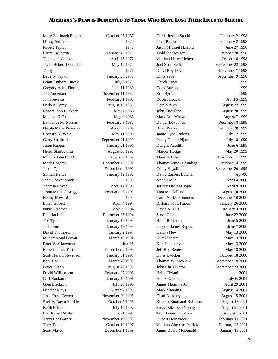#### **MICHIGAN'S PLAN IS DEDICATED TO THOSE WHO HAVE LOST THEIR LIVES TO SUICIDE**

| Mary Gallinagh Beghin         | October 25 1967        |
|-------------------------------|------------------------|
| Danny Sullivan                | 1970                   |
| Robert Taylor                 | 1970                   |
| Laura LaCharite               | February 25 1971       |
| Thomas J. Caldwell            | April 15 1972          |
| Joyce Hebert-Donaldson        | May 12 1974            |
| <b>Tippy</b>                  | 1976                   |
| <b>Beverly Taylor</b>         | <b>January 28 1977</b> |
| <b>Brian Anthony Bucek</b>    | July 6 1978            |
| Gregory Allan Florian         | June 11 1980           |
| <b>Jeff Anderson</b>          | November 11 1982       |
| John Sevakis                  | February 1 1983        |
| <b>Herbert Derby</b>          | <b>August 16 1986</b>  |
| Robert John Buckner           | May 2 1986             |
| Michael G Fix                 | May 9 1986             |
| Lawrence M. Nortan            | February 8 1987        |
| Nicole Marie Peterson         | April 25 1989          |
| Leonard K. West               | May 11 1990            |
| Gerry Stephani                | September 21 1990      |
| Jason Ruppal                  | <b>January 21 1991</b> |
| Helen Skarbowski              | <b>August 26 1992</b>  |
| Marcus John Codd              | <b>August 6 1992</b>   |
| Mark Bogatay                  | December 15 1992       |
| Justin Oja                    | December 4 1992        |
| Simran Nanda                  | <b>January 12 1992</b> |
| John Hookenbrock              | 1993                   |
| Theresa Boyce                 | April 17 1993          |
| Jason Michael Briggs          | February 23 1993       |
| Kenny Howard                  | 1994                   |
| <b>Ethan Gilbert</b>          | April 4 1994           |
| Nikki Freeman                 | April 9 1994           |
| Rick Jackson                  | December 25 1994       |
| Ted Tyson                     | <b>January 10 1994</b> |
| Jeff Joiner                   | <b>January 18 1994</b> |
| David Thompson                | January 2 1994         |
| Muhammond Brown               | March 10 1994          |
| Peter VanHavermat             | Jun-95                 |
| Robert James Toft             | December 2 1995        |
| <b>Scott Herald Stevenson</b> | <b>January 31 1995</b> |
| Ken Bon                       | March 28 1995          |
| <b>Bryce Green</b>            | <b>August 28 1996</b>  |
| David Williamson              | February 27 1996       |
| Carl Hookana                  | <b>January 17 1996</b> |
| Greg Erickson                 | July 20 1996           |
| <b>Heather Mays</b>           | <b>March 7 1996</b>    |
| <b>Jesse Ross Everett</b>     | November 30 1996       |
| <b>Shelley Dawn Markle</b>    | October 7 1996         |
| Keith Ellison                 | July 17 1997           |
| Eric Robert Shafer            | June 21 1997           |
| Terry Lee Garner              | November 19 1997       |
| Terry Baksic                  | October 10 1997        |
| Scott Mayer                   | December 1 1998        |

Curtis Joseph Stucki February 2 1998 Greg Pascoe February 2 1998 Jason Michael Harrold June 27 1998 Todd Stackowicz October 28 1998 William Henry Hebert **October 8 1998** Joel Scott Serlin September 22 1998 Deryl Roy Davis September 7 1998 Chris Pace September 9 1998 Chuck Rowe 1999 Cody Burton 1999 Eric Byrd 1999 Robert Houck April 5 1999 Gerald Auth August 22 1999 John Knowlton **August 28** 1999 Mark Eric Maxwell August 7 1999 David (DJ) Jones December 8 1999 Brian Walker February 20 1999 Jamie Lynn Jenkins July 12 1999 Peggy Tinker Pijor July 18 1999 Dwight Antcliff June 6 1999 Marcus Hodge May 20 1999 Thomas Baker November 1 1999 Thomas James Brundage **October 14 1999** Corey Hayslit September 20 1999 David Earnest Butcher Apr-00 Anna Trolla **April 4 2000** Jeffrey Daniel Hipple April 9 2000 Tara McClelland August 10 2000 Carol Verlee Sommers December 10 2000 Richard Scott Hubar January 26 2000 David A. Dill January 3 2000 Steve Clark June 22 2000 Brian Burnham June 5 2000 Clayton James Rogers June 7 2000 Dennis New May 13 2000 Kurt Liebetreu May 13 2000 Kurt Liebetrev May 13 2000 Jeff Rey Reuter May 18 2000 Doris Zwicker October 18 2000 Thomas W. Moxlow September 19 2000 John Chris Pieron September 23 2000 Brian Tiziani 2001 Heinz C. Prechter July 6, 2001 James Thomma Jr. April 29 2001 Mark Manning August 14 2001 Chad Baughey August 15 2001 Rhonda Roodland-Robinson August 18 2001 Susan Elizabeth Young August 21 2001 Troy James Duperron August 5 2001 Gilbert Hernandez February 11 2001 William Aloysius Petrick February 23 2001 James David McDonald January 15 2001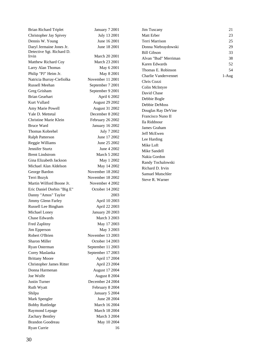Brian R ichard Triplet Januar Christopher Jay Spivey July 13 2001 Dennis W. Young June 16 2001 Dar yl Jermain Detective Sgt. R ichard D. Irvin March 20 2001 Matthew R ichard Co Larr y Alan Tho Philip "PJ" Heim Jr. Natricia Burray - Ciefiolk Russell Meehan September 7 2001 Greg Grisham September 9 2001 Brian Gearhar Kurt Vullard August 29 2002 Amy Marie Powell August 31 2002 Yale D. Mette Christine Marie Klein Bruce Ward Thomas Kobrehel July 7 2002 Ralph Patterson June 17 2002 Reggie Williams June 25 2002 Jennifer Sturtz June 4 2002 Brent Lindstrom March 5 2002 Gina Elizabeth Jackson May 1 2002 Michael Alan Aldelson May 14 2002 George Bardon November 18 2002 Terri Bozyk November 18 2002 Martin Wilford Boone Jr. November 4 2002 Eric Daniel Dorbin "Big E" October 14 2002 Dann y "Amos" Tay Jimmy Glenn Farley April 10 2003 Russell Lee Bingham April 22 2003 Michael Lon e y Januar y 20 2003 Chase Edwards March 3 2003 Fred Zaplitn Jim Epperson May 3 2003 Robert O Sharon Miller Corober 14 2003 Ryan Osterman September 11 2003 Corey Maslank **Brittany Moore** Christopher Jam Donna Harmenan August 17 2004 Joe Wolfe August 8 2004 Justin Turner December 24 2004 Ruth W yatt Februar y 8 2004 Shilpa January 5 2004 Mark Spengler June 28 2004 **Bobby Ruttledge** Ray mond Lepag Zachar y B Brandon Goodreau May 10 2004 Ryan Currie 16

Jim Tuscan  $y \hspace{2.5cm} 21$ Matt Erber 23 Terri Marrison 25 Donna Niebr a y dowski 29 Bill Gibson 33 Alvan "Bud" Merriman 38 Karen Edw ards 52 Thomas E. Robinson 54 Charlie Vanderv Chris Cozzi Colin McIntyre David Chase Debbie Bog le Debbie DeMoss Douglas Ray D eVine Francisco Nuno II Ila R iddnour James Gra h a m Jeff McEwe n Lee Harding Mike Loft Mike Sandell Nakia Gordon Randy Tochalo w s ki Richard D. Irvin Samuel Mutschler Steve R. Warner

 $1-Aug$